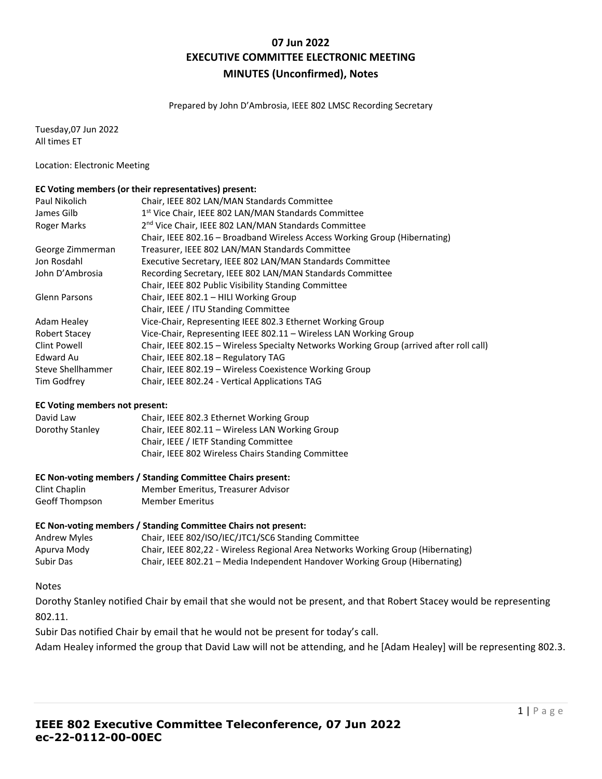# **07 Jun 2022 EXECUTIVE COMMITTEE ELECTRONIC MEETING MINUTES (Unconfirmed), Notes**

Prepared by John D'Ambrosia, IEEE 802 LMSC Recording Secretary

Tuesday,07 Jun 2022 All times ET

Location: Electronic Meeting

#### **EC Voting members (or their representatives) present:**

| Paul Nikolich        | Chair, IEEE 802 LAN/MAN Standards Committee                                              |
|----------------------|------------------------------------------------------------------------------------------|
| James Gilb           | 1 <sup>st</sup> Vice Chair, IEEE 802 LAN/MAN Standards Committee                         |
| Roger Marks          | 2 <sup>nd</sup> Vice Chair, IEEE 802 LAN/MAN Standards Committee                         |
|                      | Chair, IEEE 802.16 - Broadband Wireless Access Working Group (Hibernating)               |
| George Zimmerman     | Treasurer, IEEE 802 LAN/MAN Standards Committee                                          |
| Jon Rosdahl          | Executive Secretary, IEEE 802 LAN/MAN Standards Committee                                |
| John D'Ambrosia      | Recording Secretary, IEEE 802 LAN/MAN Standards Committee                                |
|                      | Chair, IEEE 802 Public Visibility Standing Committee                                     |
| Glenn Parsons        | Chair, IEEE 802.1 - HILI Working Group                                                   |
|                      | Chair, IEEE / ITU Standing Committee                                                     |
| Adam Healey          | Vice-Chair, Representing IEEE 802.3 Ethernet Working Group                               |
| <b>Robert Stacey</b> | Vice-Chair, Representing IEEE 802.11 - Wireless LAN Working Group                        |
| Clint Powell         | Chair, IEEE 802.15 - Wireless Specialty Networks Working Group (arrived after roll call) |
| Edward Au            | Chair, IEEE 802.18 - Regulatory TAG                                                      |
| Steve Shellhammer    | Chair, IEEE 802.19 - Wireless Coexistence Working Group                                  |
| Tim Godfrey          | Chair, IEEE 802.24 - Vertical Applications TAG                                           |

#### **EC Voting members not present:**

| David Law       | Chair, IEEE 802.3 Ethernet Working Group           |
|-----------------|----------------------------------------------------|
| Dorothy Stanley | Chair, IEEE 802.11 - Wireless LAN Working Group    |
|                 | Chair, IEEE / IETF Standing Committee              |
|                 | Chair, IEEE 802 Wireless Chairs Standing Committee |

#### **EC Non-voting members / Standing Committee Chairs present:**

| Clint Chaplin  | Member Emeritus, Treasurer Advisor |
|----------------|------------------------------------|
| Geoff Thompson | <b>Member Emeritus</b>             |

#### **EC Non-voting members / Standing Committee Chairs not present:**

| Andrew Myles | Chair, IEEE 802/ISO/IEC/JTC1/SC6 Standing Committee                              |
|--------------|----------------------------------------------------------------------------------|
| Apurva Mody  | Chair, IEEE 802,22 - Wireless Regional Area Networks Working Group (Hibernating) |
| Subir Das    | Chair, IEEE 802.21 – Media Independent Handover Working Group (Hibernating)      |

#### Notes

Dorothy Stanley notified Chair by email that she would not be present, and that Robert Stacey would be representing 802.11.

Subir Das notified Chair by email that he would not be present for today's call.

Adam Healey informed the group that David Law will not be attending, and he [Adam Healey] will be representing 802.3.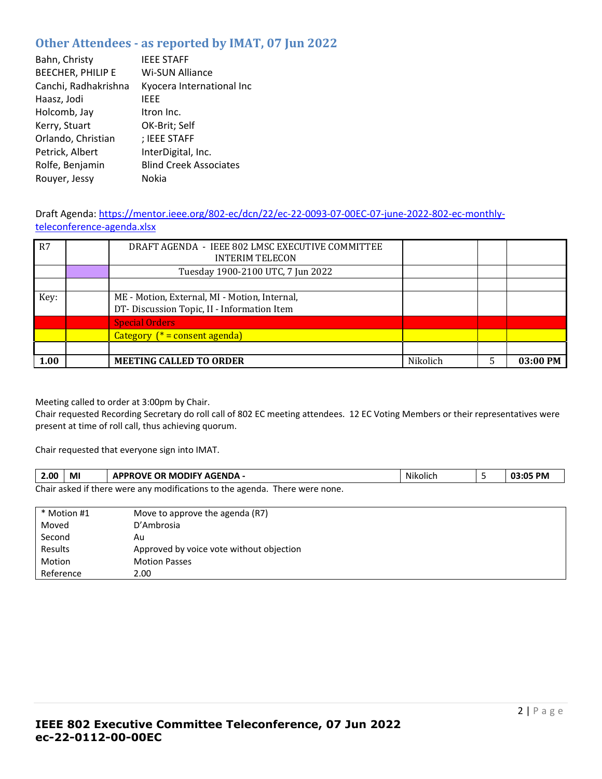# **Other Attendees - as reported by IMAT, 07 Jun 2022**

| Bahn, Christy            | <b>IEEE STAFF</b>             |
|--------------------------|-------------------------------|
| <b>BEECHER, PHILIP E</b> | Wi-SUN Alliance               |
| Canchi, Radhakrishna     | Kyocera International Inc     |
| Haasz, Jodi              | IEEE                          |
| Holcomb, Jay             | Itron Inc.                    |
| Kerry, Stuart            | OK-Brit; Self                 |
| Orlando, Christian       | ; IEEE STAFF                  |
| Petrick, Albert          | InterDigital, Inc.            |
| Rolfe, Benjamin          | <b>Blind Creek Associates</b> |
| Rouyer, Jessy            | Nokia                         |

# Draft Agenda: [https://mentor.ieee.org/802-ec/dcn/22/ec-22-0093-07-00EC-07-june-2022-802-ec-monthly](https://mentor.ieee.org/802-ec/dcn/22/ec-22-0093-07-00EC-07-june-2022-802-ec-monthly-teleconference-agenda.xlsx)[teleconference-agenda.xlsx](https://mentor.ieee.org/802-ec/dcn/22/ec-22-0093-07-00EC-07-june-2022-802-ec-monthly-teleconference-agenda.xlsx)

| R7   | DRAFT AGENDA - IEEE 802 LMSC EXECUTIVE COMMITTEE<br><b>INTERIM TELECON</b>                  |          |          |
|------|---------------------------------------------------------------------------------------------|----------|----------|
|      | Tuesday 1900-2100 UTC, 7 Jun 2022                                                           |          |          |
|      |                                                                                             |          |          |
| Key: | ME - Motion, External, MI - Motion, Internal,<br>DT-Discussion Topic, II - Information Item |          |          |
|      | <b>Special Orders</b>                                                                       |          |          |
|      | Category $(* = constant \text{ agenda})$                                                    |          |          |
|      |                                                                                             |          |          |
| 1.00 | <b>MEETING CALLED TO ORDER</b>                                                              | Nikolich | 03:00 PM |

Meeting called to order at 3:00pm by Chair.

Chair requested Recording Secretary do roll call of 802 EC meeting attendees. 12 EC Voting Members or their representatives were present at time of roll call, thus achieving quorum.

Chair requested that everyone sign into IMAT.

| 2.00 | MI                                                                          | <b>APPROVE OR MODIFY AGENDA -</b> | Nikolich |  | 03:05 PM |
|------|-----------------------------------------------------------------------------|-----------------------------------|----------|--|----------|
|      | Chair asked if there were any modifications to the agenda. There were none. |                                   |          |  |          |

| * Motion #1 | Move to approve the agenda (R7)          |
|-------------|------------------------------------------|
| Moved       | D'Ambrosia                               |
| Second      | Au                                       |
| Results     | Approved by voice vote without objection |
| Motion      | <b>Motion Passes</b>                     |
| Reference   | 2.00                                     |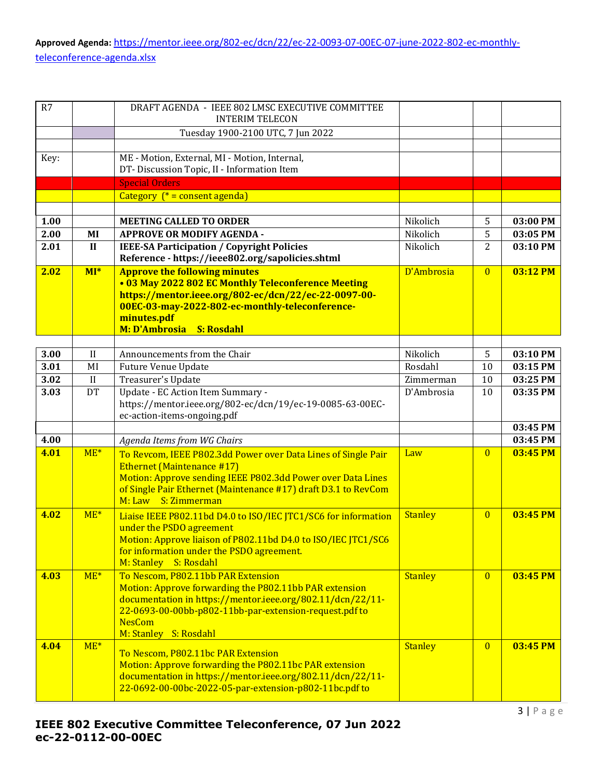**Approved Agenda:** [https://mentor.ieee.org/802-ec/dcn/22/ec-22-0093-07-00EC-07-june-2022-802-ec-monthly](https://mentor.ieee.org/802-ec/dcn/22/ec-22-0093-07-00EC-07-june-2022-802-ec-monthly-teleconference-agenda.xlsx)[teleconference-agenda.xlsx](https://mentor.ieee.org/802-ec/dcn/22/ec-22-0093-07-00EC-07-june-2022-802-ec-monthly-teleconference-agenda.xlsx)

| R7   |              | DRAFT AGENDA - IEEE 802 LMSC EXECUTIVE COMMITTEE<br><b>INTERIM TELECON</b>                                                                                                                                                                                     |                |                |          |
|------|--------------|----------------------------------------------------------------------------------------------------------------------------------------------------------------------------------------------------------------------------------------------------------------|----------------|----------------|----------|
|      |              | Tuesday 1900-2100 UTC, 7 Jun 2022                                                                                                                                                                                                                              |                |                |          |
|      |              |                                                                                                                                                                                                                                                                |                |                |          |
| Key: |              | ME - Motion, External, MI - Motion, Internal,                                                                                                                                                                                                                  |                |                |          |
|      |              | DT-Discussion Topic, II - Information Item                                                                                                                                                                                                                     |                |                |          |
|      |              | <b>Special Orders</b>                                                                                                                                                                                                                                          |                |                |          |
|      |              | Category $(* = constant)$                                                                                                                                                                                                                                      |                |                |          |
|      |              |                                                                                                                                                                                                                                                                |                |                |          |
| 1.00 |              | <b>MEETING CALLED TO ORDER</b>                                                                                                                                                                                                                                 | Nikolich       | 5              | 03:00 PM |
| 2.00 | MI           | <b>APPROVE OR MODIFY AGENDA -</b>                                                                                                                                                                                                                              | Nikolich       | 5              | 03:05 PM |
| 2.01 | $\mathbf{I}$ | <b>IEEE-SA Participation / Copyright Policies</b>                                                                                                                                                                                                              | Nikolich       | 2              | 03:10 PM |
|      |              | Reference - https://ieee802.org/sapolicies.shtml                                                                                                                                                                                                               |                |                |          |
| 2.02 | $MI^*$       | <b>Approve the following minutes</b><br>• 03 May 2022 802 EC Monthly Teleconference Meeting<br>https://mentor.ieee.org/802-ec/dcn/22/ec-22-0097-00-<br>00EC-03-may-2022-802-ec-monthly-teleconference-<br>minutes.pdf<br>M: D'Ambrosia<br><b>S: Rosdahl</b>    | D'Ambrosia     | $\overline{0}$ | 03:12 PM |
|      |              |                                                                                                                                                                                                                                                                |                |                |          |
| 3.00 | $\mathbf{I}$ | Announcements from the Chair                                                                                                                                                                                                                                   | Nikolich       | 5              | 03:10 PM |
| 3.01 | MI           | <b>Future Venue Update</b>                                                                                                                                                                                                                                     | Rosdahl        | 10             | 03:15 PM |
| 3.02 | II           | Treasurer's Update                                                                                                                                                                                                                                             | Zimmerman      | 10             | 03:25 PM |
| 3.03 | DT           | Update - EC Action Item Summary -<br>https://mentor.ieee.org/802-ec/dcn/19/ec-19-0085-63-00EC-<br>ec-action-items-ongoing.pdf                                                                                                                                  | D'Ambrosia     | 10             | 03:35 PM |
|      |              |                                                                                                                                                                                                                                                                |                |                | 03:45 PM |
| 4.00 |              | Agenda Items from WG Chairs                                                                                                                                                                                                                                    |                |                | 03:45 PM |
| 4.01 | $ME*$        | To Revcom, IEEE P802.3dd Power over Data Lines of Single Pair<br><b>Ethernet (Maintenance #17)</b><br>Motion: Approve sending IEEE P802.3dd Power over Data Lines<br>of Single Pair Ethernet (Maintenance #17) draft D3.1 to RevCom<br>M: Law S: Zimmerman     | Law            | $\overline{0}$ | 03:45 PM |
| 4.02 | $ME*$        | Liaise IEEE P802.11bd D4.0 to ISO/IEC JTC1/SC6 for information<br>under the PSDO agreement<br>Motion: Approve liaison of P802.11bd D4.0 to ISO/IEC JTC1/SC6<br>for information under the PSDO agreement.<br>M: Stanley S: Rosdahl                              | <b>Stanley</b> | $\overline{0}$ | 03:45 PM |
| 4.03 | $ME*$        | To Nescom, P802.11bb PAR Extension<br>Motion: Approve forwarding the P802.11bb PAR extension<br>documentation in https://mentor.ieee.org/802.11/dcn/22/11-<br>22-0693-00-00bb-p802-11bb-par-extension-request.pdf to<br><b>NesCom</b><br>M: Stanley S: Rosdahl | <b>Stanley</b> | $\overline{0}$ | 03:45 PM |
| 4.04 | $ME*$        | To Nescom, P802.11bc PAR Extension<br>Motion: Approve forwarding the P802.11bc PAR extension<br>documentation in https://mentor.ieee.org/802.11/dcn/22/11-<br>22-0692-00-00bc-2022-05-par-extension-p802-11bc.pdf to                                           | <b>Stanley</b> | $\overline{0}$ | 03:45 PM |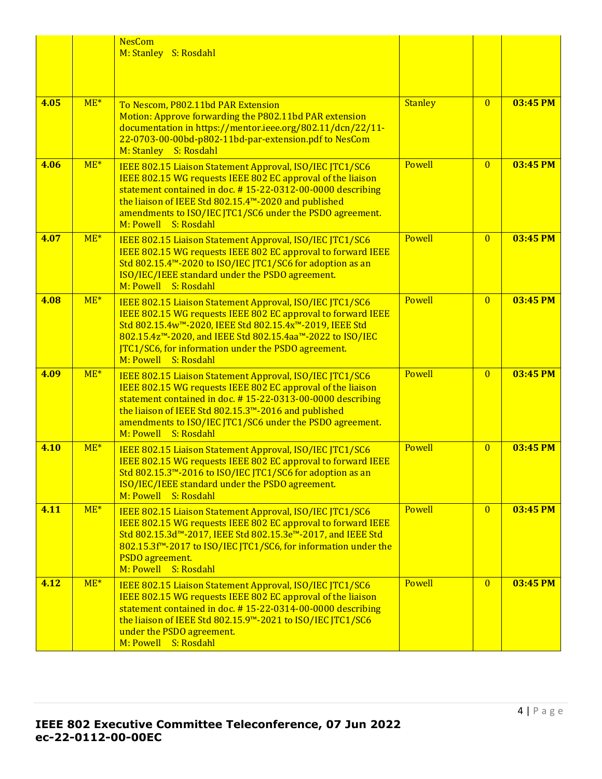|      |       | <b>NesCom</b><br>M: Stanley S: Rosdahl                                                                                                                                                                                                                                                                                                 |                |                |          |
|------|-------|----------------------------------------------------------------------------------------------------------------------------------------------------------------------------------------------------------------------------------------------------------------------------------------------------------------------------------------|----------------|----------------|----------|
| 4.05 | $ME*$ | To Nescom, P802.11bd PAR Extension<br>Motion: Approve forwarding the P802.11bd PAR extension<br>documentation in https://mentor.ieee.org/802.11/dcn/22/11-<br>22-0703-00-00bd-p802-11bd-par-extension.pdf to NesCom<br>M: Stanley S: Rosdahl                                                                                           | <b>Stanley</b> | $\overline{0}$ | 03:45 PM |
| 4.06 | $ME*$ | IEEE 802.15 Liaison Statement Approval, ISO/IEC JTC1/SC6<br>IEEE 802.15 WG requests IEEE 802 EC approval of the liaison<br>statement contained in doc. #15-22-0312-00-0000 describing<br>the liaison of IEEE Std 802.15.4™-2020 and published<br>amendments to ISO/IEC JTC1/SC6 under the PSDO agreement.<br>M: Powell S: Rosdahl      | Powell         | $\overline{0}$ | 03:45 PM |
| 4.07 | $ME*$ | IEEE 802.15 Liaison Statement Approval, ISO/IEC JTC1/SC6<br>IEEE 802.15 WG requests IEEE 802 EC approval to forward IEEE<br>Std 802.15.4 <sup>™</sup> -2020 to ISO/IEC JTC1/SC6 for adoption as an<br>ISO/IEC/IEEE standard under the PSDO agreement.<br>M: Powell S: Rosdahl                                                          | Powell         | $\overline{0}$ | 03:45 PM |
| 4.08 | $ME*$ | IEEE 802.15 Liaison Statement Approval, ISO/IEC JTC1/SC6<br>IEEE 802.15 WG requests IEEE 802 EC approval to forward IEEE<br>Std 802.15.4w™-2020, IEEE Std 802.15.4x™-2019, IEEE Std<br>802.15.4z™-2020, and IEEE Std 802.15.4aa™-2022 to ISO/IEC<br><b>JTC1/SC6, for information under the PSDO agreement.</b><br>M: Powell S: Rosdahl | Powell         | $\overline{0}$ | 03:45 PM |
| 4.09 | $ME*$ | IEEE 802.15 Liaison Statement Approval, ISO/IEC JTC1/SC6<br>IEEE 802.15 WG requests IEEE 802 EC approval of the liaison<br>statement contained in doc. #15-22-0313-00-0000 describing<br>the liaison of IEEE Std 802.15.3™-2016 and published<br>amendments to ISO/IEC JTC1/SC6 under the PSDO agreement.<br>M: Powell S: Rosdahl      | Powell         | $\overline{0}$ | 03:45 PM |
| 4.10 | $ME*$ | IEEE 802.15 Liaison Statement Approval, ISO/IEC JTC1/SC6<br>IEEE 802.15 WG requests IEEE 802 EC approval to forward IEEE<br>Std 802.15.3 <sup>™</sup> -2016 to ISO/IEC JTC1/SC6 for adoption as an<br>ISO/IEC/IEEE standard under the PSDO agreement.<br>M: Powell S: Rosdahl                                                          | Powell         | $\overline{0}$ | 03:45 PM |
| 4.11 | $ME*$ | IEEE 802.15 Liaison Statement Approval, ISO/IEC JTC1/SC6<br>IEEE 802.15 WG requests IEEE 802 EC approval to forward IEEE<br>Std 802.15.3d™-2017, IEEE Std 802.15.3e™-2017, and IEEE Std<br>802.15.3f <sup>™</sup> -2017 to ISO/IEC JTC1/SC6, for information under the<br>PSDO agreement.<br>M: Powell S: Rosdahl                      | <b>Powell</b>  | $\overline{0}$ | 03:45 PM |
| 4.12 | $ME*$ | IEEE 802.15 Liaison Statement Approval, ISO/IEC JTC1/SC6<br>IEEE 802.15 WG requests IEEE 802 EC approval of the liaison<br>statement contained in doc. #15-22-0314-00-0000 describing<br>the liaison of IEEE Std 802.15.9™-2021 to ISO/IEC JTC1/SC6<br>under the PSDO agreement.<br>M: Powell S: Rosdahl                               | Powell         | $\overline{0}$ | 03:45 PM |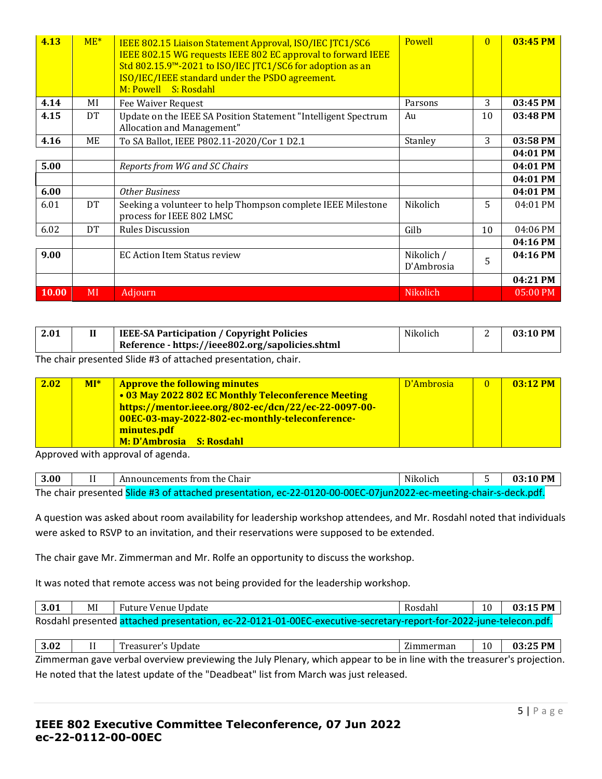| 4.13         | $ME*$     | IEEE 802.15 Liaison Statement Approval, ISO/IEC JTC1/SC6<br>IEEE 802.15 WG requests IEEE 802 EC approval to forward IEEE<br>Std 802.15.9 <sup>™</sup> -2021 to ISO/IEC JTC1/SC6 for adoption as an<br>ISO/IEC/IEEE standard under the PSDO agreement.<br>M: Powell S: Rosdahl | Powell                   | $\overline{0}$ | 03:45 PM |
|--------------|-----------|-------------------------------------------------------------------------------------------------------------------------------------------------------------------------------------------------------------------------------------------------------------------------------|--------------------------|----------------|----------|
| 4.14         | MI        | Fee Waiver Request                                                                                                                                                                                                                                                            | Parsons                  | 3              | 03:45 PM |
| 4.15         | DT        | Update on the IEEE SA Position Statement "Intelligent Spectrum"<br>Allocation and Management"                                                                                                                                                                                 | Au                       | 10             | 03:48 PM |
| 4.16         | МE        | To SA Ballot, IEEE P802.11-2020/Cor 1 D2.1                                                                                                                                                                                                                                    | Stanley                  | 3              | 03:58 PM |
|              |           |                                                                                                                                                                                                                                                                               |                          |                | 04:01 PM |
| 5.00         |           | Reports from WG and SC Chairs                                                                                                                                                                                                                                                 |                          |                | 04:01 PM |
|              |           |                                                                                                                                                                                                                                                                               |                          |                | 04:01 PM |
| 6.00         |           | <b>Other Business</b>                                                                                                                                                                                                                                                         |                          |                | 04:01 PM |
| 6.01         | <b>DT</b> | Seeking a volunteer to help Thompson complete IEEE Milestone<br>process for IEEE 802 LMSC                                                                                                                                                                                     | Nikolich                 | 5              | 04:01 PM |
| 6.02         | <b>DT</b> | <b>Rules Discussion</b>                                                                                                                                                                                                                                                       | Gilb                     | 10             | 04:06 PM |
|              |           |                                                                                                                                                                                                                                                                               |                          |                | 04:16 PM |
| 9.00         |           | <b>EC Action Item Status review</b>                                                                                                                                                                                                                                           | Nikolich /<br>D'Ambrosia | 5              | 04:16 PM |
|              |           |                                                                                                                                                                                                                                                                               |                          |                | 04:21 PM |
| <b>10.00</b> | MI        | Adjourn                                                                                                                                                                                                                                                                       | Nikolich                 |                | 05:00 PM |

| 2.01 | <b>IEEE-SA Participation / Copyright Policies</b> | Nikolich | <b>__</b> | $03:10$ PM |
|------|---------------------------------------------------|----------|-----------|------------|
|      | Reference - https://ieee802.org/sapolicies.shtml  |          |           |            |

The chair presented Slide #3 of attached presentation, chair.

| 2.02 | $MI^*$ | <b>Approve the following minutes</b>                 | D'Ambrosia | $\overline{0}$ | $03:12$ PM |
|------|--------|------------------------------------------------------|------------|----------------|------------|
|      |        | • 03 May 2022 802 EC Monthly Teleconference Meeting  |            |                |            |
|      |        | https://mentor.ieee.org/802-ec/dcn/22/ec-22-0097-00- |            |                |            |
|      |        | 00EC-03-may-2022-802-ec-monthly-teleconference-      |            |                |            |
|      |        | minutes.pdf                                          |            |                |            |
|      |        | M: D'Ambrosia S: Rosdahl                             |            |                |            |

Approved with approval of agenda.

| 3.00 | Announcements from the Chair                                                                                     | Nikolich | $03:10$ PM |
|------|------------------------------------------------------------------------------------------------------------------|----------|------------|
|      | The chair presented Slide #3 of attached presentation, ec-22-0120-00-00EC-07jun2022-ec-meeting-chair-s-deck.pdf. |          |            |

A question was asked about room availability for leadership workshop attendees, and Mr. Rosdahl noted that individuals were asked to RSVP to an invitation, and their reservations were supposed to be extended.

The chair gave Mr. Zimmerman and Mr. Rolfe an opportunity to discuss the workshop.

It was noted that remote access was not being provided for the leadership workshop.

| 3.01 |                                                                                                                   | Future Venue Update | Rosdahl | 10 | 03:15 PM |  |  |  |  |  |
|------|-------------------------------------------------------------------------------------------------------------------|---------------------|---------|----|----------|--|--|--|--|--|
|      | Rosdahl presented attached presentation, ec-22-0121-01-00EC-executive-secretary-report-for-2022-june-telecon.pdf. |                     |         |    |          |  |  |  |  |  |
|      |                                                                                                                   |                     |         |    |          |  |  |  |  |  |

**3.02** II Treasurer's Update Zimmerman 10 **03:25 PM**  Zimmerman gave verbal overview previewing the July Plenary, which appear to be in line with the treasurer's projection. He noted that the latest update of the "Deadbeat" list from March was just released.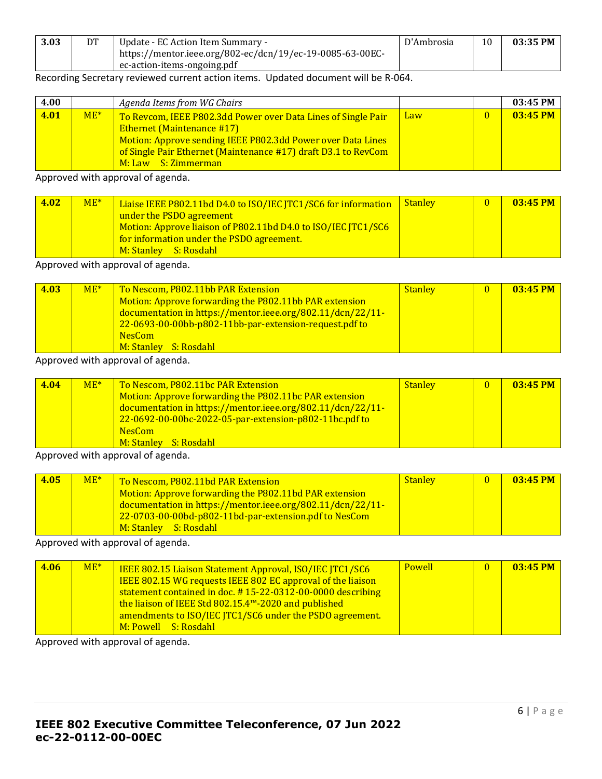| 3.03 | DT | Update - EC Action Item Summary -                         | D'Ambrosia | 10 | 03:35 PM |
|------|----|-----------------------------------------------------------|------------|----|----------|
|      |    | https://mentor.ieee.org/802-ec/dcn/19/ec-19-0085-63-00EC- |            |    |          |
|      |    | $\epsilon$ ec-action-items-ongoing pdf                    |            |    |          |

## Recording Secretary reviewed current action items. Updated document will be R-064.

| 4.00 |       | Agenda Items from WG Chairs                                                                                                                                                                                                                                |            |              | $03:45$ PM |
|------|-------|------------------------------------------------------------------------------------------------------------------------------------------------------------------------------------------------------------------------------------------------------------|------------|--------------|------------|
| 4.01 | $ME*$ | To Revcom, IEEE P802.3dd Power over Data Lines of Single Pair<br><b>Ethernet (Maintenance #17)</b><br>Motion: Approve sending IEEE P802.3dd Power over Data Lines<br>of Single Pair Ethernet (Maintenance #17) draft D3.1 to RevCom<br>M: Law S: Zimmerman | <b>Law</b> | $\mathbf{0}$ | 03:45 PM   |

Approved with approval of agenda.

| 4.02 | $ME*$ | Liaise IEEE P802.11bd D4.0 to ISO/IEC JTC1/SC6 for information<br>under the PSDO agreement<br>Motion: Approve liaison of P802.11bd D4.0 to ISO/IEC JTC1/SC6<br>for information under the PSDO agreement.<br>M: Stanley S: Rosdahl | <b>Stanley</b> |  | 03:45 PM |
|------|-------|-----------------------------------------------------------------------------------------------------------------------------------------------------------------------------------------------------------------------------------|----------------|--|----------|
|------|-------|-----------------------------------------------------------------------------------------------------------------------------------------------------------------------------------------------------------------------------------|----------------|--|----------|

Approved with approval of agenda.

| 4.03 | $ME*$ | To Nescom, P802.11bb PAR Extension<br>Motion: Approve forwarding the P802.11bb PAR extension<br>documentation in https://mentor.ieee.org/802.11/dcn/22/11-<br>22-0693-00-00bb-p802-11bb-par-extension-request.pdf to<br><b>NesCom</b> | <b>Stanley</b> | $\overline{0}$ | $03:45$ PM |
|------|-------|---------------------------------------------------------------------------------------------------------------------------------------------------------------------------------------------------------------------------------------|----------------|----------------|------------|
|      |       | M: Stanley S: Rosdahl                                                                                                                                                                                                                 |                |                |            |

Approved with approval of agenda.

| 4.04 | $ME*$ | To Nescom, P802.11bc PAR Extension                         | <b>Stanley</b> | $\mathbf{0}$ | $03:45$ PM |
|------|-------|------------------------------------------------------------|----------------|--------------|------------|
|      |       | Motion: Approve forwarding the P802.11bc PAR extension     |                |              |            |
|      |       | documentation in https://mentor.ieee.org/802.11/dcn/22/11- |                |              |            |
|      |       | 22-0692-00-00bc-2022-05-par-extension-p802-11bc.pdf to     |                |              |            |
|      |       | <b>NesCom</b>                                              |                |              |            |
|      |       | M: Stanley S: Rosdahl                                      |                |              |            |

Approved with approval of agenda.

| 4.05 | $ME*$ | To Nescom, P802.11bd PAR Extension                         | Stanley | $03:45$ PM |
|------|-------|------------------------------------------------------------|---------|------------|
|      |       | Motion: Approve forwarding the P802.11bd PAR extension     |         |            |
|      |       | documentation in https://mentor.ieee.org/802.11/dcn/22/11- |         |            |
|      |       | 22-0703-00-00bd-p802-11bd-par-extension.pdf to NesCom      |         |            |
|      |       | M: Stanley S: Rosdahl I                                    |         |            |

Approved with approval of agenda.

| 4.06 | $ME*$ | <b>IEEE 802.15 Liaison Statement Approval, ISO/IEC JTC1/SC6</b>    | <b>Powell</b> | $03:45$ PM |
|------|-------|--------------------------------------------------------------------|---------------|------------|
|      |       | <b>IEEE 802.15 WG requests IEEE 802 EC approval of the liaison</b> |               |            |
|      |       | statement contained in doc. #15-22-0312-00-0000 describing         |               |            |
|      |       | the liaison of IEEE Std 802.15.4 <sup>™</sup> -2020 and published  |               |            |
|      |       | amendments to ISO/IEC JTC1/SC6 under the PSDO agreement.           |               |            |
|      |       | M: Powell S: Rosdahl                                               |               |            |

Approved with approval of agenda.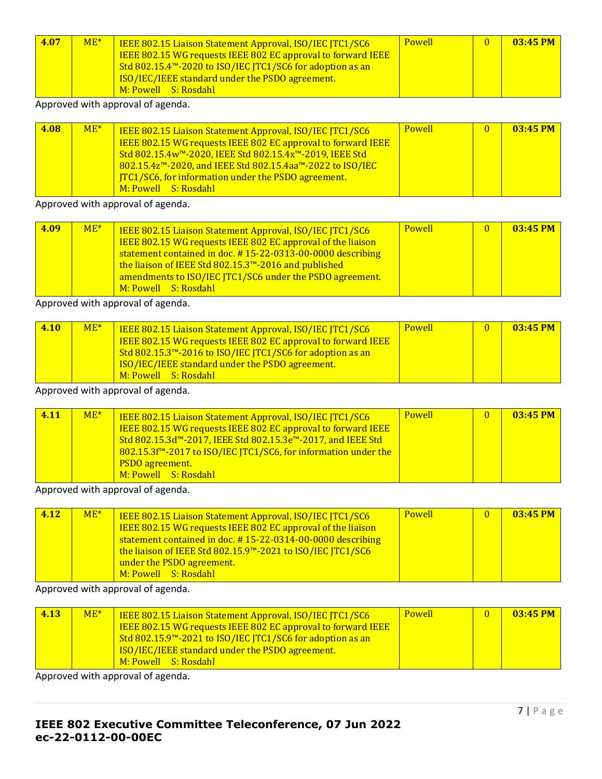| 4.07 | $ME*$ | IEEE 802.15 Liaison Statement Approval, ISO/IEC JTC1/SC6<br>IEEE 802.15 WG requests IEEE 802 EC approval to forward IEEE<br>Std 802.15.4™-2020 to ISO/IEC JTC1/SC6 for adoption as an<br>ISO/IEC/IEEE standard under the PSDO agreement. | <b>Powell</b> | $\Omega$ | $03:45$ PM |
|------|-------|------------------------------------------------------------------------------------------------------------------------------------------------------------------------------------------------------------------------------------------|---------------|----------|------------|
|      |       | M: Powell S: Rosdahl                                                                                                                                                                                                                     |               |          |            |

Approved with approval of agenda.

| 4.08 | $ME*$ | IEEE 802.15 Liaison Statement Approval, ISO/IEC JTC1/SC6<br>IEEE 802.15 WG requests IEEE 802 EC approval to forward IEEE<br>Std 802.15.4w™-2020, IEEE Std 802.15.4x™-2019, IEEE Std<br>802.15.4z™-2020, and IEEE Std 802.15.4aa™-2022 to ISO/IEC<br><b>ITC1/SC6, for information under the PSDO agreement.</b><br>M: Powell S: Rosdahl | <b>Powell</b> |  | $03:45$ PM |
|------|-------|----------------------------------------------------------------------------------------------------------------------------------------------------------------------------------------------------------------------------------------------------------------------------------------------------------------------------------------|---------------|--|------------|
|------|-------|----------------------------------------------------------------------------------------------------------------------------------------------------------------------------------------------------------------------------------------------------------------------------------------------------------------------------------------|---------------|--|------------|

#### Approved with approval of agenda.

| 4.09 | $ME*$ | <b>IEEE 802.15 Liaison Statement Approval, ISO/IEC JTC1/SC6</b><br><b>IEEE 802.15 WG requests IEEE 802 EC approval of the liaison</b><br>statement contained in doc. #15-22-0313-00-0000 describing | <b>Powell</b> | $\mathbf{0}$ | $03:45$ PM |
|------|-------|-----------------------------------------------------------------------------------------------------------------------------------------------------------------------------------------------------|---------------|--------------|------------|
|      |       | the liaison of IEEE Std 802.15.3 <sup>™</sup> -2016 and published<br>amendments to ISO/IEC JTC1/SC6 under the PSDO agreement.<br>M: Powell S: Rosdahl                                               |               |              |            |

Approved with approval of agenda.

| 4.10 | $ME*$ | <b>IEEE 802.15 Liaison Statement Approval, ISO/IEC JTC1/SC6</b><br><b>IEEE 802.15 WG requests IEEE 802 EC approval to forward IEEE</b><br>Std 802.15.3 <sup>™</sup> -2016 to ISO/IEC JTC1/SC6 for adoption as an<br><b>ISO/IEC/IEEE standard under the PSDO agreement.</b> | <b>Powell</b> | $\mathbf{0}$ | $03:45$ PM |
|------|-------|----------------------------------------------------------------------------------------------------------------------------------------------------------------------------------------------------------------------------------------------------------------------------|---------------|--------------|------------|
|      |       | M: Powell S: Rosdahl                                                                                                                                                                                                                                                       |               |              |            |

Approved with approval of agenda.

| 4.11 | $ME*$ | <b>IEEE 802.15 Liaison Statement Approval, ISO/IEC ITC1/SC6</b><br>IEEE 802.15 WG requests IEEE 802 EC approval to forward IEEE<br>Std 802.15.3d™-2017, IEEE Std 802.15.3e™-2017, and IEEE Std<br>802.15.3f <sup>™</sup> -2017 to ISO/IEC JTC1/SC6, for information under the<br><b>PSDO</b> agreement.<br>M: Powell S: Rosdahl | <b>Powell</b> | $\overline{0}$ | 03:45 PM |
|------|-------|---------------------------------------------------------------------------------------------------------------------------------------------------------------------------------------------------------------------------------------------------------------------------------------------------------------------------------|---------------|----------------|----------|
|------|-------|---------------------------------------------------------------------------------------------------------------------------------------------------------------------------------------------------------------------------------------------------------------------------------------------------------------------------------|---------------|----------------|----------|

Approved with approval of agenda.

| 4.12 | $ME*$ | <b>IEEE 802.15 Liaison Statement Approval, ISO/IEC JTC1/SC6</b><br>IEEE 802.15 WG requests IEEE 802 EC approval of the liaison<br>statement contained in doc. #15-22-0314-00-0000 describing<br>the liaison of IEEE Std 802.15.9™-2021 to ISO/IEC JTC1/SC6<br>under the PSDO agreement.<br>M: Powell S: Rosdahl | <b>Powell</b> | $\mathbf{0}$ | 03:45 PM |
|------|-------|-----------------------------------------------------------------------------------------------------------------------------------------------------------------------------------------------------------------------------------------------------------------------------------------------------------------|---------------|--------------|----------|
|------|-------|-----------------------------------------------------------------------------------------------------------------------------------------------------------------------------------------------------------------------------------------------------------------------------------------------------------------|---------------|--------------|----------|

## Approved with approval of agenda.

| 4.13 | $ME*$ | <b>IEEE 802.15 Liaison Statement Approval, ISO/IEC JTC1/SC6</b><br><b>IEEE 802.15 WG requests IEEE 802 EC approval to forward IEEE</b><br>Std 802.15.9 <sup>™</sup> -2021 to ISO/IEC JTC1/SC6 for adoption as an<br>ISO/IEC/IEEE standard under the PSDO agreement.<br>M: Powell S: Rosdahl | <b>Powell</b> |  | $03:45$ PM |
|------|-------|---------------------------------------------------------------------------------------------------------------------------------------------------------------------------------------------------------------------------------------------------------------------------------------------|---------------|--|------------|
|------|-------|---------------------------------------------------------------------------------------------------------------------------------------------------------------------------------------------------------------------------------------------------------------------------------------------|---------------|--|------------|

Approved with approval of agenda.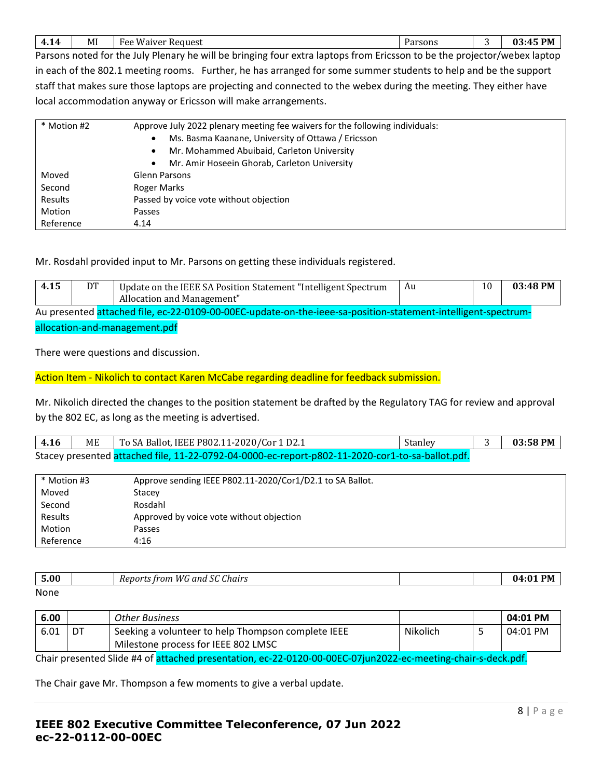| MI<br>$W$ auzer<br>Request<br>л.<br>$\sqrt{ }$<br>HΔQ<br>.<br>.<br>. .<br>. | Uarcopc<br>ai sulis |  | DM<br>03:4!<br>т., |
|-----------------------------------------------------------------------------|---------------------|--|--------------------|
|-----------------------------------------------------------------------------|---------------------|--|--------------------|

Parsons noted for the July Plenary he will be bringing four extra laptops from Ericsson to be the projector/webex laptop in each of the 802.1 meeting rooms. Further, he has arranged for some summer students to help and be the support staff that makes sure those laptops are projecting and connected to the webex during the meeting. They either have local accommodation anyway or Ericsson will make arrangements.

| * Motion #2 | Approve July 2022 plenary meeting fee waivers for the following individuals:<br>Ms. Basma Kaanane, University of Ottawa / Ericsson<br>$\bullet$<br>Mr. Mohammed Abuibaid, Carleton University<br>$\bullet$<br>Mr. Amir Hoseein Ghorab, Carleton University<br>$\bullet$ |
|-------------|-------------------------------------------------------------------------------------------------------------------------------------------------------------------------------------------------------------------------------------------------------------------------|
| Moved       | <b>Glenn Parsons</b>                                                                                                                                                                                                                                                    |
| Second      | Roger Marks                                                                                                                                                                                                                                                             |
| Results     | Passed by voice vote without objection                                                                                                                                                                                                                                  |
| Motion      | <b>Passes</b>                                                                                                                                                                                                                                                           |
| Reference   | 4.14                                                                                                                                                                                                                                                                    |

Mr. Rosdahl provided input to Mr. Parsons on getting these individuals registered.

| 4.15                                                                                                          | DT | Update on the IEEE SA Position Statement "Intelligent Spectrum" | Au | 10 | 03:48 PM |  |
|---------------------------------------------------------------------------------------------------------------|----|-----------------------------------------------------------------|----|----|----------|--|
|                                                                                                               |    | Allocation and Management"                                      |    |    |          |  |
| Au presented attached file, ec-22-0109-00-00EC-update-on-the-ieee-sa-position-statement-intelligent-spectrum- |    |                                                                 |    |    |          |  |
|                                                                                                               |    |                                                                 |    |    |          |  |

allocation-and-management.pdf

There were questions and discussion.

Action Item - Nikolich to contact Karen McCabe regarding deadline for feedback submission.

Mr. Nikolich directed the changes to the position statement be drafted by the Regulatory TAG for review and approval by the 802 EC, as long as the meeting is advertised.

| 4.16 | ME | To SA Ballot, IEEE P802.11-2020/Cor 1 D2.1                                                       | Stanley | 03:58 PM |
|------|----|--------------------------------------------------------------------------------------------------|---------|----------|
|      |    | Stacey presented attached file, 11-22-0792-04-0000-ec-report-p802-11-2020-cor1-to-sa-ballot.pdf. |         |          |

| * Motion #3 | Approve sending IEEE P802.11-2020/Cor1/D2.1 to SA Ballot. |
|-------------|-----------------------------------------------------------|
| Moved       | Stacey                                                    |
| Second      | Rosdahl                                                   |
| Results     | Approved by voice vote without objection                  |
| Motion      | Passes                                                    |
| Reference   | 4:16                                                      |

| $\mathbf{r}$ $\mathbf{r}$<br><u>.</u><br>้ว.บบ | $\sim$<br>$\sim$<br>Chairs<br>' anu<br>$+ \infty$<br>rnn<br>، اد |  | በ4∙<br>ּ ^<br>'N |
|------------------------------------------------|------------------------------------------------------------------|--|------------------|
| <b>None</b>                                    |                                                                  |  |                  |

| None |  |
|------|--|
|      |  |

| 6.00                                                                                                         |    | Other Business                                     |          |  | 04:01 PM |
|--------------------------------------------------------------------------------------------------------------|----|----------------------------------------------------|----------|--|----------|
| 6.01                                                                                                         | DT | Seeking a volunteer to help Thompson complete IEEE | Nikolich |  | 04:01 PM |
|                                                                                                              |    | Milestone process for IEEE 802 LMSC                |          |  |          |
| Chair presented Slide #4 of attached presentation, ec-22-0120-00-00EC-07jun2022-ec-meeting-chair-s-deck.pdf. |    |                                                    |          |  |          |

The Chair gave Mr. Thompson a few moments to give a verbal update.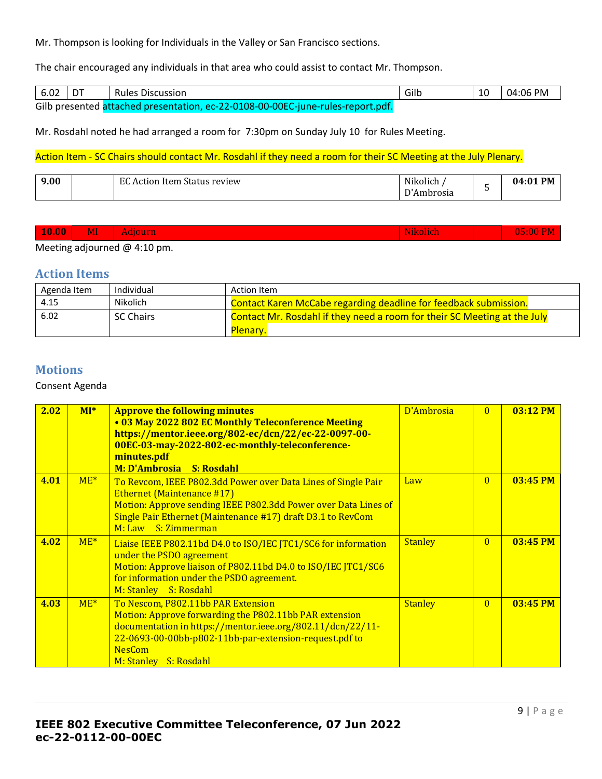Mr. Thompson is looking for Individuals in the Valley or San Francisco sections.

The chair encouraged any individuals in that area who could assist to contact Mr. Thompson.

| 6.02 | l DT | <b>Rules Discussion</b>                                                         | Gilb | 10 | 04:06 PM |
|------|------|---------------------------------------------------------------------------------|------|----|----------|
|      |      | Gilb presented attached presentation, ec-22-0108-00-00EC-june-rules-report.pdf. |      |    |          |

Mr. Rosdahl noted he had arranged a room for 7:30pm on Sunday July 10 for Rules Meeting.

## Action Item - SC Chairs should contact Mr. Rosdahl if they need a room for their SC Meeting at the July Plenary.

| 9.00 |  | $E\mathcal{L}$<br>review<br>Item Status<br>ction<br>$A_{1}$<br>$\cdots$ | <b>BUTIS</b><br><br>Nikolich<br>$\overline{\phantom{a}}$<br>brosia<br>. |  | <b>PM</b><br>-01<br><u>ባ4</u><br>. |
|------|--|-------------------------------------------------------------------------|-------------------------------------------------------------------------|--|------------------------------------|
|------|--|-------------------------------------------------------------------------|-------------------------------------------------------------------------|--|------------------------------------|

| $\vert 10.00 \vert$ | MI | aoun. |  |  |  |
|---------------------|----|-------|--|--|--|
|                     |    |       |  |  |  |

Meeting adjourned @ 4:10 pm.

## **Action Items**

| Agenda Item | Individual       | Action Item                                                              |
|-------------|------------------|--------------------------------------------------------------------------|
| 4.15        | Nikolich         | <b>Contact Karen McCabe regarding deadline for feedback submission.</b>  |
| 6.02        | <b>SC Chairs</b> | Contact Mr. Rosdahl if they need a room for their SC Meeting at the July |
|             |                  | Plenary.                                                                 |

# **Motions**

### Consent Agenda

| 2.02 | $MI^*$ | <b>Approve the following minutes</b><br>• 03 May 2022 802 EC Monthly Teleconference Meeting<br>https://mentor.ieee.org/802-ec/dcn/22/ec-22-0097-00-<br>00EC-03-may-2022-802-ec-monthly-teleconference-<br>minutes.pdf<br><b>M: D'Ambrosia</b><br><b>S: Rosdahl</b> | D'Ambrosia     | $\Omega$       | $03:12$ PM |
|------|--------|--------------------------------------------------------------------------------------------------------------------------------------------------------------------------------------------------------------------------------------------------------------------|----------------|----------------|------------|
| 4.01 | $ME*$  | To Revcom, IEEE P802.3dd Power over Data Lines of Single Pair<br><b>Ethernet (Maintenance #17)</b><br>Motion: Approve sending IEEE P802.3dd Power over Data Lines of<br>Single Pair Ethernet (Maintenance #17) draft D3.1 to RevCom<br>M: Law S: Zimmerman         | Law            | $\overline{0}$ | 03:45 PM   |
| 4.02 | $ME*$  | Liaise IEEE P802.11bd D4.0 to ISO/IEC JTC1/SC6 for information<br>under the PSDO agreement<br>Motion: Approve liaison of P802.11bd D4.0 to ISO/IEC JTC1/SC6<br>for information under the PSDO agreement.<br>M: Stanley S: Rosdahl                                  | <b>Stanley</b> | $\Omega$       | $03:45$ PM |
| 4.03 | $ME*$  | To Nescom, P802.11bb PAR Extension<br>Motion: Approve forwarding the P802.11bb PAR extension<br>documentation in https://mentor.ieee.org/802.11/dcn/22/11-<br>22-0693-00-00bb-p802-11bb-par-extension-request.pdf to<br><b>NesCom</b><br>M: Stanley S: Rosdahl     | <b>Stanley</b> | $\Omega$       | $03:45$ PM |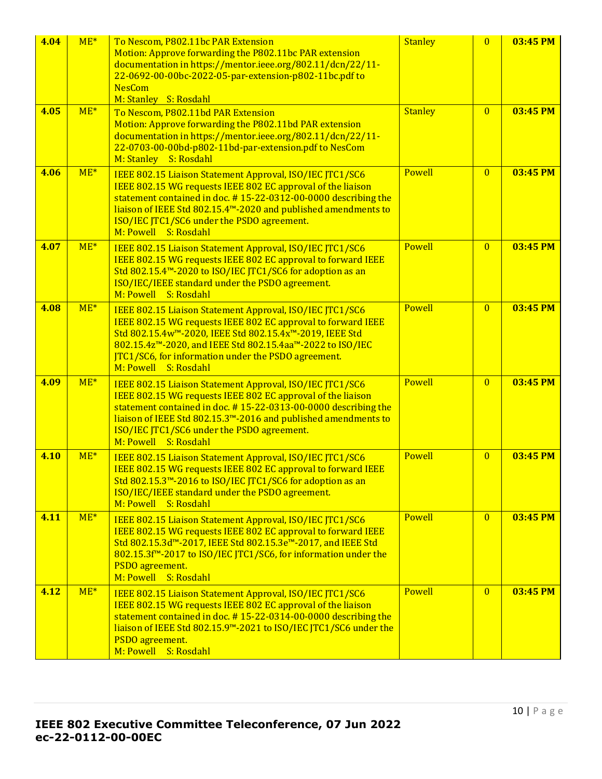| 4.04 | $ME*$ | To Nescom, P802.11bc PAR Extension<br>Motion: Approve forwarding the P802.11bc PAR extension<br>documentation in https://mentor.ieee.org/802.11/dcn/22/11-<br>22-0692-00-00bc-2022-05-par-extension-p802-11bc.pdf to<br><b>NesCom</b><br>M: Stanley S: Rosdahl                                                                    | <b>Stanley</b> | $\overline{0}$ | 03:45 PM |
|------|-------|-----------------------------------------------------------------------------------------------------------------------------------------------------------------------------------------------------------------------------------------------------------------------------------------------------------------------------------|----------------|----------------|----------|
| 4.05 | $ME*$ | To Nescom, P802.11bd PAR Extension<br>Motion: Approve forwarding the P802.11bd PAR extension<br>documentation in https://mentor.ieee.org/802.11/dcn/22/11-<br>22-0703-00-00bd-p802-11bd-par-extension.pdf to NesCom<br>M: Stanley S: Rosdahl                                                                                      | <b>Stanley</b> | $\overline{0}$ | 03:45 PM |
| 4.06 | $ME*$ | IEEE 802.15 Liaison Statement Approval, ISO/IEC JTC1/SC6<br>IEEE 802.15 WG requests IEEE 802 EC approval of the liaison<br>statement contained in doc. #15-22-0312-00-0000 describing the<br>liaison of IEEE Std 802.15.4™-2020 and published amendments to<br>ISO/IEC JTC1/SC6 under the PSDO agreement.<br>M: Powell S: Rosdahl | <b>Powell</b>  | $\overline{0}$ | 03:45 PM |
| 4.07 | $ME*$ | IEEE 802.15 Liaison Statement Approval, ISO/IEC JTC1/SC6<br>IEEE 802.15 WG requests IEEE 802 EC approval to forward IEEE<br>Std 802.15.4 <sup>™</sup> -2020 to ISO/IEC JTC1/SC6 for adoption as an<br>ISO/IEC/IEEE standard under the PSDO agreement.<br>M: Powell S: Rosdahl                                                     | Powell         | $\overline{0}$ | 03:45 PM |
| 4.08 | $ME*$ | IEEE 802.15 Liaison Statement Approval, ISO/IEC JTC1/SC6<br>IEEE 802.15 WG requests IEEE 802 EC approval to forward IEEE<br>Std 802.15.4w™-2020, IEEE Std 802.15.4x™-2019, IEEE Std<br>802.15.4z™-2020, and IEEE Std 802.15.4aa™-2022 to ISO/IEC<br>JTC1/SC6, for information under the PSDO agreement.<br>M: Powell S: Rosdahl   | Powell         | $\overline{0}$ | 03:45 PM |
| 4.09 | $ME*$ | IEEE 802.15 Liaison Statement Approval, ISO/IEC JTC1/SC6<br>IEEE 802.15 WG requests IEEE 802 EC approval of the liaison<br>statement contained in doc. #15-22-0313-00-0000 describing the<br>liaison of IEEE Std 802.15.3™-2016 and published amendments to<br>ISO/IEC JTC1/SC6 under the PSDO agreement.<br>M: Powell S: Rosdahl | <b>Powell</b>  | $\overline{0}$ | 03:45 PM |
| 4.10 | $ME*$ | IEEE 802.15 Liaison Statement Approval, ISO/IEC JTC1/SC6<br>IEEE 802.15 WG requests IEEE 802 EC approval to forward IEEE<br>Std 802.15.3 <sup>™</sup> -2016 to ISO/IEC JTC1/SC6 for adoption as an<br>ISO/IEC/IEEE standard under the PSDO agreement.<br>M: Powell S: Rosdahl                                                     | Powell         | $\overline{0}$ | 03:45 PM |
| 4.11 | $ME*$ | IEEE 802.15 Liaison Statement Approval, ISO/IEC JTC1/SC6<br>IEEE 802.15 WG requests IEEE 802 EC approval to forward IEEE<br>Std 802.15.3d™-2017, IEEE Std 802.15.3e™-2017, and IEEE Std<br>802.15.3f <sup>™-2017</sup> to ISO/IEC JTC1/SC6, for information under the<br>PSDO agreement.<br>M: Powell S: Rosdahl                  | <b>Powell</b>  | $\overline{0}$ | 03:45 PM |
| 4.12 | $ME*$ | IEEE 802.15 Liaison Statement Approval, ISO/IEC JTC1/SC6<br>IEEE 802.15 WG requests IEEE 802 EC approval of the liaison<br>statement contained in doc. #15-22-0314-00-0000 describing the<br>liaison of IEEE Std 802.15.9 <sup>™</sup> -2021 to ISO/IEC JTC1/SC6 under the<br>PSDO agreement.<br>M: Powell S: Rosdahl             | <b>Powell</b>  | $\overline{0}$ | 03:45 PM |